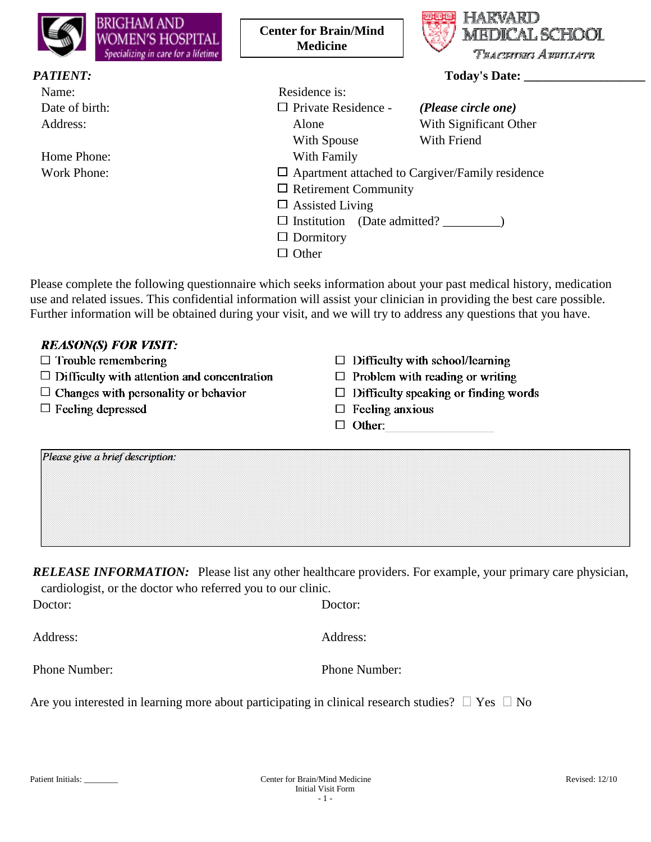| <b>BRIGHAM AND</b><br>WOMEN'S HOSPITAL<br>Specializing in care for a lifetime                                   | <b>Center for Brain/Mind</b><br><b>Medicine</b> | HAR<br><b>MEDICAL SCHOOL</b><br>Tracenwo Amultatr      |
|-----------------------------------------------------------------------------------------------------------------|-------------------------------------------------|--------------------------------------------------------|
| <b>PATIENT:</b>                                                                                                 |                                                 | Today's Date:                                          |
| Name:                                                                                                           | Residence is:                                   |                                                        |
| Date of birth:                                                                                                  | $\Box$ Private Residence -                      | (Please circle one)                                    |
| Address:                                                                                                        | Alone                                           | With Significant Other                                 |
|                                                                                                                 | With Spouse                                     | With Friend                                            |
| Home Phone:                                                                                                     | With Family                                     |                                                        |
| Work Phone:                                                                                                     |                                                 | $\Box$ Apartment attached to Cargiver/Family residence |
|                                                                                                                 | $\Box$ Retirement Community                     |                                                        |
|                                                                                                                 | $\Box$ Assisted Living                          |                                                        |
|                                                                                                                 | $\Box$ Institution (Date admitted?              |                                                        |
|                                                                                                                 | $\Box$ Dormitory                                |                                                        |
|                                                                                                                 | $\Box$ Other                                    |                                                        |
| Please complete the following questionnaire which seeks information about your past medical history, medication |                                                 |                                                        |

Please complete the following questionnaire which seeks information about your past medical history, medication use and related issues. This confidential information will assist your clinician in providing the best care possible. Further information will be obtained during your visit, and we will try to address any questions that you have.

| <b>REASON(S) FOR VISIT:</b>                        |                                             |
|----------------------------------------------------|---------------------------------------------|
| $\Box$ Trouble remembering                         | $\Box$ Difficulty with school/learning      |
| $\Box$ Difficulty with attention and concentration | $\Box$ Problem with reading or writing      |
| $\Box$ Changes with personality or behavior        | $\Box$ Difficulty speaking or finding words |
| $\Box$ Feeling depressed                           | $\Box$ Feeling anxious                      |
|                                                    | $\Box$ Other:                               |

*RELEASE INFORMATION:* Please list any other healthcare providers. For example, your primary care physician, cardiologist, or the doctor who referred you to our clinic.

| Doctor:       | Doctor:       |
|---------------|---------------|
| Address:      | Address:      |
| Phone Number: | Phone Number: |
|               |               |

Are you interested in learning more about participating in clinical research studies?  $\Box$  Yes  $\Box$  No

Please give a brief description: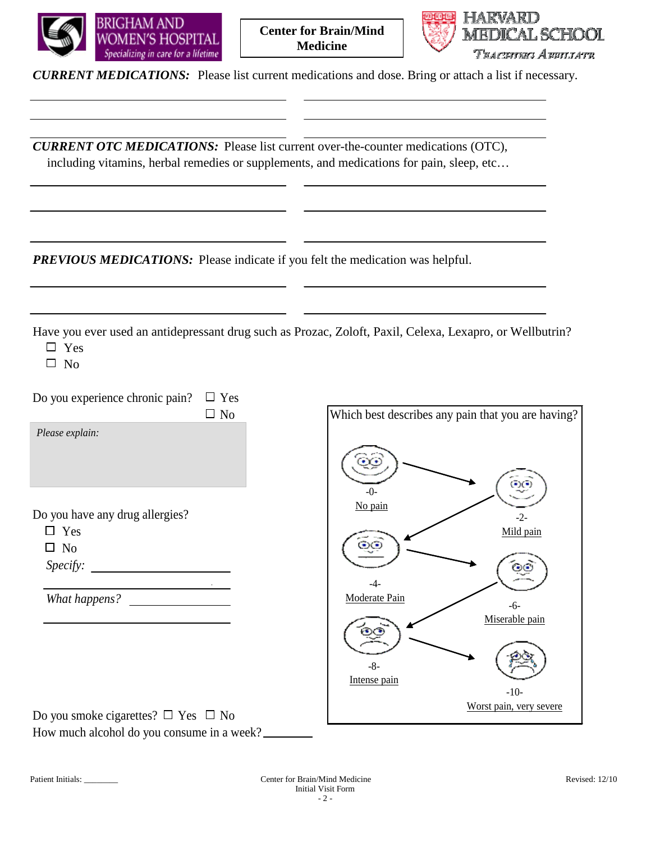



*CURRENT MEDICATIONS:* Please list current medications and dose. Bring or attach a list if necessary.

*CURRENT OTC MEDICATIONS:* Please list current over-the-counter medications (OTC), including vitamins, herbal remedies or supplements, and medications for pain, sleep, etc…

*PREVIOUS MEDICATIONS:* Please indicate if you felt the medication was helpful.

Have you ever used an antidepressant drug such as Prozac, Zoloft, Paxil, Celexa, Lexapro, or Wellbutrin?

□ Yes

 $\square$  No

Do you experience chronic pain?  $\Box$  Yes

 *Please explain:*

Do you have any drug allergies?

Yes

 $\Box$  No

*Specify:*

*What happens?*

Do you smoke cigarettes?  $\Box$  Yes  $\Box$  No How much alcohol do you consume in a week?

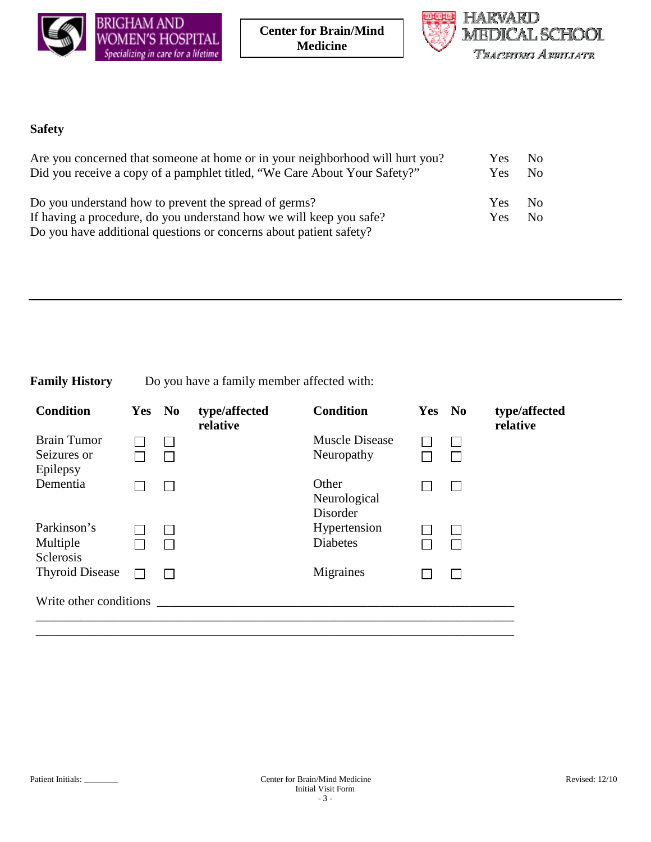

 **Center for Brain/Mind Medicine**



## **Safety**

| Are you concerned that someone at home or in your neighborhood will hurt you? | <b>Yes</b> | - No         |
|-------------------------------------------------------------------------------|------------|--------------|
| Did you receive a copy of a pamphlet titled, "We Care About Your Safety?"     | Yes        | No.          |
| Do you understand how to prevent the spread of germs?                         | <b>Yes</b> | No.          |
| If having a procedure, do you understand how we will keep you safe?           | Yes        | $N_{\Omega}$ |
| Do you have additional questions or concerns about patient safety?            |            |              |

## **Family History** Do you have a family member affected with:

| <b>Condition</b>                  | Yes No | type/affected<br>relative | <b>Condition</b>                    | Yes | N <sub>0</sub> | type/affected<br>relative |
|-----------------------------------|--------|---------------------------|-------------------------------------|-----|----------------|---------------------------|
| <b>Brain Tumor</b><br>Seizures or |        |                           | <b>Muscle Disease</b><br>Neuropathy |     | $\mathsf{I}$   |                           |
| Epilepsy                          |        |                           |                                     |     |                |                           |
| Dementia                          |        |                           | Other<br>Neurological<br>Disorder   |     |                |                           |
| Parkinson's                       |        |                           | Hypertension                        |     |                |                           |
| Multiple<br><b>Sclerosis</b>      |        |                           | <b>Diabetes</b>                     |     |                |                           |
| <b>Thyroid Disease</b>            |        |                           | Migraines                           |     |                |                           |
| Write other conditions            |        |                           |                                     |     |                |                           |
|                                   |        |                           |                                     |     |                |                           |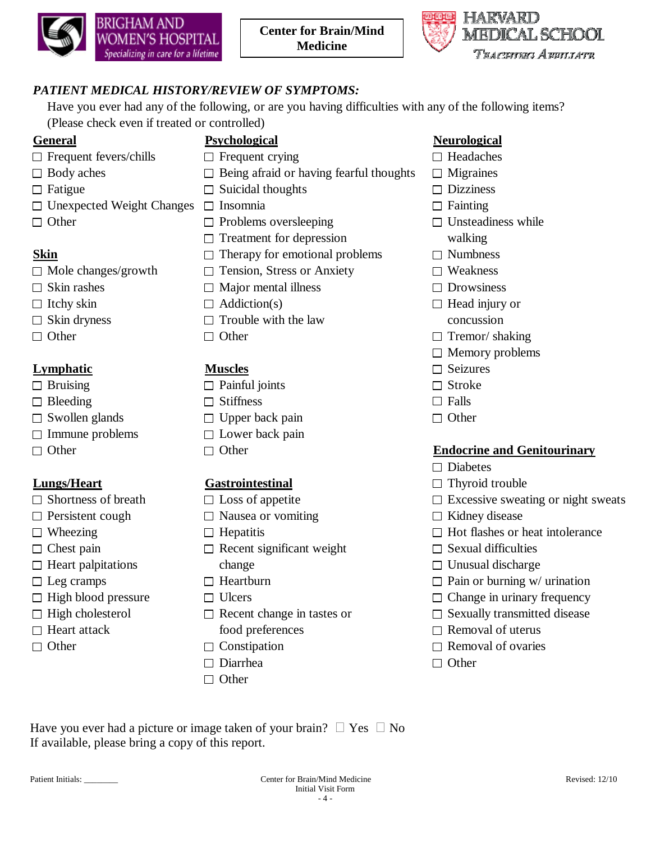



## *PATIENT MEDICAL HISTORY/REVIEW OF SYMPTOMS:*

Have you ever had any of the following, or are you having difficulties with any of the following items? (Please check even if treated or controlled)

- $\Box$  Frequent fevers/chills  $\Box$  Frequent crying  $\Box$  Headaches
- 
- 
- $\Box$  Unexpected Weight Changes  $\Box$  Insomnia  $\Box$  Fainting
- 

- 
- 
- 
- 
- 

## **Lymphatic Muscles**  $\Box$  Seizures

- 
- $\Box$  Bleeding  $\Box$  Stiffness  $\Box$  Falls
- 
- $\Box$  Immune problems  $\Box$  Lower back pain
- 

- 
- 
- 
- 
- 
- 
- 
- 
- 
- 

- 
- $\Box$  Body aches  $\Box$  Being afraid or having fearful thoughts  $\Box$  Migraines
- $\Box$  Fatigue  $\Box$  Suicidal thoughts  $\Box$  Dizziness
	-
	-
	- $\Box$  Treatment for depression walking
- **Skin**  $\Box$  Therapy for emotional problems  $\Box$  Numbness
- $\Box$  Mole changes/growth  $\Box$  Tension, Stress or Anxiety  $\Box$  Weakness
- $\Box$  Skin rashes  $\Box$  Major mental illness  $\Box$  Drowsiness
	-
- $\Box$  Skin dryness  $\Box$  Trouble with the law concussion
	-

- $\Box$  Bruising  $\Box$  Painful joints  $\Box$  Stroke
	-
- $\Box$  Swollen glands  $\Box$  Upper back pain  $\Box$  Other
	-
	-

- 
- $\Box$  Persistent cough  $\Box$  Nausea or vomiting  $\Box$  Kidney disease
	-
- $\Box$  Chest pain  $\Box$  Recent significant weight  $\Box$  Sexual difficulties  $\Box$  Heart palpitations change  $\Box$  Unusual discharge
	-
	-
	-
	-
	-
	- $\Box$  Diarrhea  $\Box$  Other
	- $\Box$  Other
- **General Psychological Neurological**
	-
	-
	-
	-
- $\Box$  Other  $\Box$  Problems oversleeping  $\Box$  Unsteadiness while
	-
	-
	-
	-
- $\Box$  Itchy skin  $\Box$  Addiction(s)  $\Box$  Head injury or
- $\Box$  Other  $\Box$  Other  $\Box$  Tremor/ shaking
	- $\Box$  Memory problems
	-
	-
	-
	-

## □ Other **Endocrine and Genitourinary**

- $\Box$  Diabetes
- **Lungs/Heart Gastrointestinal**  $\Box$  Thyroid trouble
- $\Box$  Shortness of breath  $\Box$  Loss of appetite  $\Box$  Excessive sweating or night sweats
	-
- $\Box$  Wheezing  $\Box$  Hepatitis  $\Box$  Hot flashes or heat intolerance
	-
	-
- $\Box$  Leg cramps  $\Box$  Heartburn  $\Box$  Pain or burning w/ urination
- $\Box$  High blood pressure  $\Box$  Ulcers  $\Box$  Change in urinary frequency
- $\Box$  High cholesterol  $\Box$  Recent change in tastes or  $\Box$  Sexually transmitted disease
- $\Box$  Heart attack food preferences  $\Box$  Removal of uterus
- $\Box$  Other  $\Box$  Constipation  $\Box$  Removal of ovaries
	-

Have you ever had a picture or image taken of your brain?  $\Box$  Yes  $\Box$  No If available, please bring a copy of this report.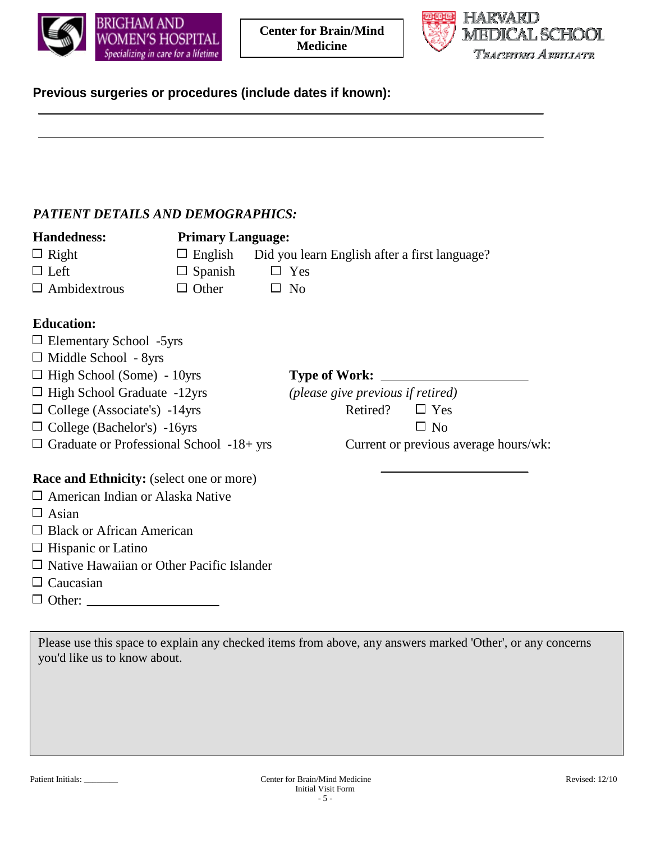



# **Previous surgeries or procedures (include dates if known):**

## *PATIENT DETAILS AND DEMOGRAPHICS:*

| <b>Handedness:</b>                               | <b>Primary Language:</b> |                                               |                                       |
|--------------------------------------------------|--------------------------|-----------------------------------------------|---------------------------------------|
| $\Box$ Right                                     | $\Box$ English           | Did you learn English after a first language? |                                       |
| $\Box$ Left                                      | $\Box$ Spanish           | $\Box$ Yes                                    |                                       |
| $\Box$ Ambidextrous                              | $\Box$ Other             | $\Box$ No                                     |                                       |
| <b>Education:</b>                                |                          |                                               |                                       |
| $\Box$ Elementary School -5yrs                   |                          |                                               |                                       |
| $\Box$ Middle School - 8yrs                      |                          |                                               |                                       |
| $\Box$ High School (Some) - 10yrs                |                          |                                               |                                       |
| $\Box$ High School Graduate -12yrs               |                          | (please give previous if retired)             |                                       |
| $\Box$ College (Associate's) -14yrs              |                          | Retired?                                      | $\Box$ Yes                            |
| $\Box$ College (Bachelor's) -16yrs               |                          |                                               | $\Box$ No                             |
| $\Box$ Graduate or Professional School -18+ yrs  |                          |                                               | Current or previous average hours/wk: |
| <b>Race and Ethnicity:</b> (select one or more)  |                          |                                               |                                       |
| $\Box$ American Indian or Alaska Native          |                          |                                               |                                       |
| $\Box$ Asian                                     |                          |                                               |                                       |
| $\Box$ Black or African American                 |                          |                                               |                                       |
| $\Box$ Hispanic or Latino                        |                          |                                               |                                       |
| $\Box$ Native Hawaiian or Other Pacific Islander |                          |                                               |                                       |
| $\Box$ Concocion                                 |                          |                                               |                                       |

- $\Box$  Caucasian
- Other:

Please use this space to explain any checked items from above, any answers marked 'Other', or any concerns you'd like us to know about.